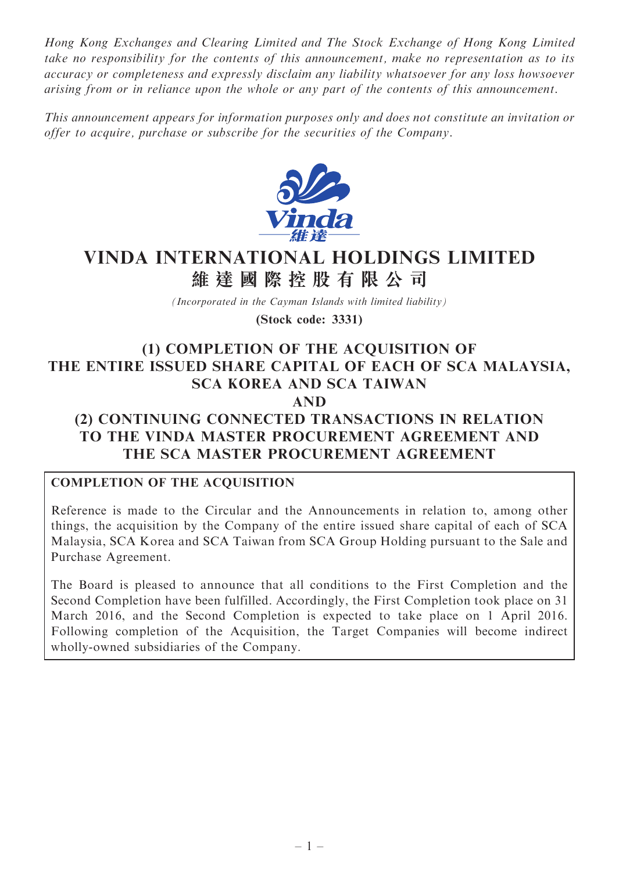Hong Kong Exchanges and Clearing Limited and The Stock Exchange of Hong Kong Limited take no responsibility for the contents of this announcement, make no representation as to its accuracy or completeness and expressly disclaim any liability whatsoever for any loss howsoever arising from or in reliance upon the whole or any part of the contents of this announcement.

This announcement appears for information purposes only and does not constitute an invitation or offer to acquire, purchase or subscribe for the securities of the Company.



# VINDA INTERNATIONAL HOLDINGS LIMITED 維 達 國 際 控 股 有 限 公 司

(Incorporated in the Cayman Islands with limited liability)

(Stock code: 3331)

# (1) COMPLETION OF THE ACQUISITION OF THE ENTIRE ISSUED SHARE CAPITAL OF EACH OF SCA MALAYSIA, SCA KOREA AND SCA TAIWAN

# AND

# (2) CONTINUING CONNECTED TRANSACTIONS IN RELATION TO THE VINDA MASTER PROCUREMENT AGREEMENT AND THE SCA MASTER PROCUREMENT AGREEMENT

# COMPLETION OF THE ACQUISITION

Reference is made to the Circular and the Announcements in relation to, among other things, the acquisition by the Company of the entire issued share capital of each of SCA Malaysia, SCA Korea and SCA Taiwan from SCA Group Holding pursuant to the Sale and Purchase Agreement.

The Board is pleased to announce that all conditions to the First Completion and the Second Completion have been fulfilled. Accordingly, the First Completion took place on 31 March 2016, and the Second Completion is expected to take place on 1 April 2016. Following completion of the Acquisition, the Target Companies will become indirect wholly-owned subsidiaries of the Company.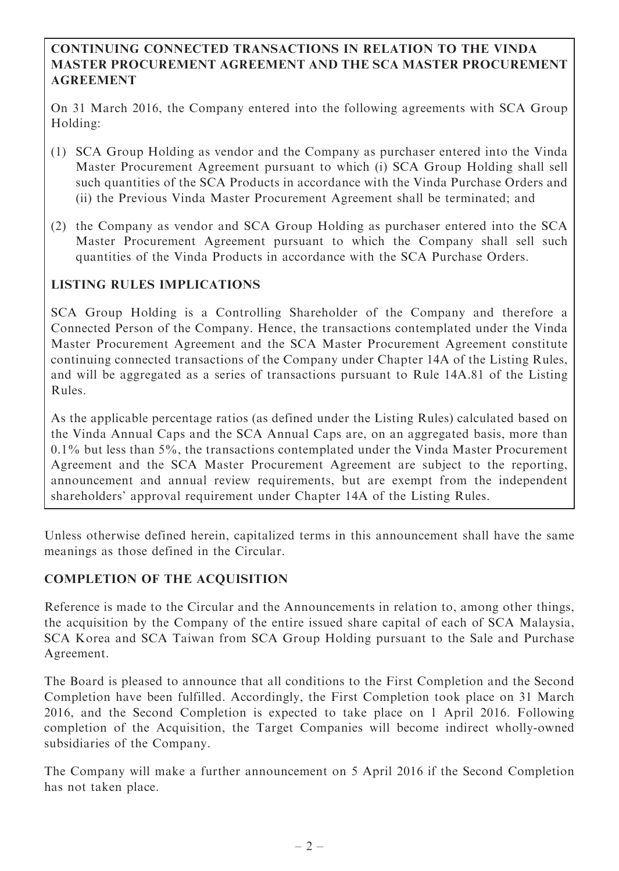#### CONTINUING CONNECTED TRANSACTIONS IN RELATION TO THE VINDA MASTER PROCUREMENT AGREEMENT AND THE SCA MASTER PROCUREMENT AGREEMENT

On 31 March 2016, the Company entered into the following agreements with SCA Group Holding:

- (1) SCA Group Holding as vendor and the Company as purchaser entered into the Vinda Master Procurement Agreement pursuant to which (i) SCA Group Holding shall sell such quantities of the SCA Products in accordance with the Vinda Purchase Orders and (ii) the Previous Vinda Master Procurement Agreement shall be terminated; and
- (2) the Company as vendor and SCA Group Holding as purchaser entered into the SCA Master Procurement Agreement pursuant to which the Company shall sell such quantities of the Vinda Products in accordance with the SCA Purchase Orders.

# LISTING RULES IMPLICATIONS

SCA Group Holding is a Controlling Shareholder of the Company and therefore a Connected Person of the Company. Hence, the transactions contemplated under the Vinda Master Procurement Agreement and the SCA Master Procurement Agreement constitute continuing connected transactions of the Company under Chapter 14A of the Listing Rules, and will be aggregated as a series of transactions pursuant to Rule 14A.81 of the Listing Rules.

As the applicable percentage ratios (as defined under the Listing Rules) calculated based on the Vinda Annual Caps and the SCA Annual Caps are, on an aggregated basis, more than 0.1% but less than 5%, the transactions contemplated under the Vinda Master Procurement Agreement and the SCA Master Procurement Agreement are subject to the reporting, announcement and annual review requirements, but are exempt from the independent shareholders' approval requirement under Chapter 14A of the Listing Rules.

Unless otherwise defined herein, capitalized terms in this announcement shall have the same meanings as those defined in the Circular.

# COMPLETION OF THE ACQUISITION

Reference is made to the Circular and the Announcements in relation to, among other things, the acquisition by the Company of the entire issued share capital of each of SCA Malaysia, SCA Korea and SCA Taiwan from SCA Group Holding pursuant to the Sale and Purchase Agreement.

The Board is pleased to announce that all conditions to the First Completion and the Second Completion have been fulfilled. Accordingly, the First Completion took place on 31 March 2016, and the Second Completion is expected to take place on 1 April 2016. Following completion of the Acquisition, the Target Companies will become indirect wholly-owned subsidiaries of the Company.

The Company will make a further announcement on 5 April 2016 if the Second Completion has not taken place.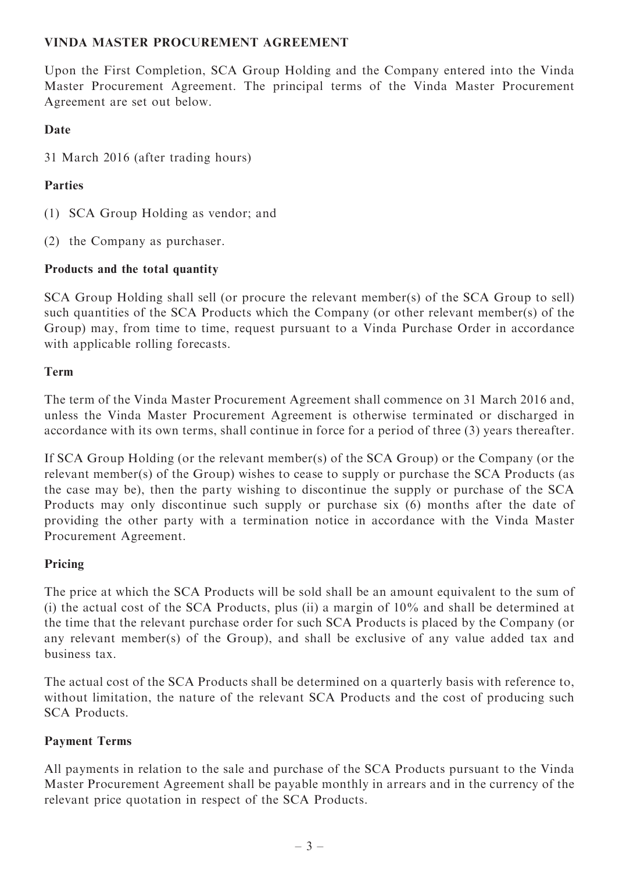# VINDA MASTER PROCUREMENT AGREEMENT

Upon the First Completion, SCA Group Holding and the Company entered into the Vinda Master Procurement Agreement. The principal terms of the Vinda Master Procurement Agreement are set out below.

# Date

31 March 2016 (after trading hours)

# Parties

- (1) SCA Group Holding as vendor; and
- (2) the Company as purchaser.

# Products and the total quantity

SCA Group Holding shall sell (or procure the relevant member(s) of the SCA Group to sell) such quantities of the SCA Products which the Company (or other relevant member(s) of the Group) may, from time to time, request pursuant to a Vinda Purchase Order in accordance with applicable rolling forecasts.

# Term

The term of the Vinda Master Procurement Agreement shall commence on 31 March 2016 and, unless the Vinda Master Procurement Agreement is otherwise terminated or discharged in accordance with its own terms, shall continue in force for a period of three (3) years thereafter.

If SCA Group Holding (or the relevant member(s) of the SCA Group) or the Company (or the relevant member(s) of the Group) wishes to cease to supply or purchase the SCA Products (as the case may be), then the party wishing to discontinue the supply or purchase of the SCA Products may only discontinue such supply or purchase six (6) months after the date of providing the other party with a termination notice in accordance with the Vinda Master Procurement Agreement.

# Pricing

The price at which the SCA Products will be sold shall be an amount equivalent to the sum of (i) the actual cost of the SCA Products, plus (ii) a margin of 10% and shall be determined at the time that the relevant purchase order for such SCA Products is placed by the Company (or any relevant member(s) of the Group), and shall be exclusive of any value added tax and business tax.

The actual cost of the SCA Products shall be determined on a quarterly basis with reference to, without limitation, the nature of the relevant SCA Products and the cost of producing such SCA Products.

# Payment Terms

All payments in relation to the sale and purchase of the SCA Products pursuant to the Vinda Master Procurement Agreement shall be payable monthly in arrears and in the currency of the relevant price quotation in respect of the SCA Products.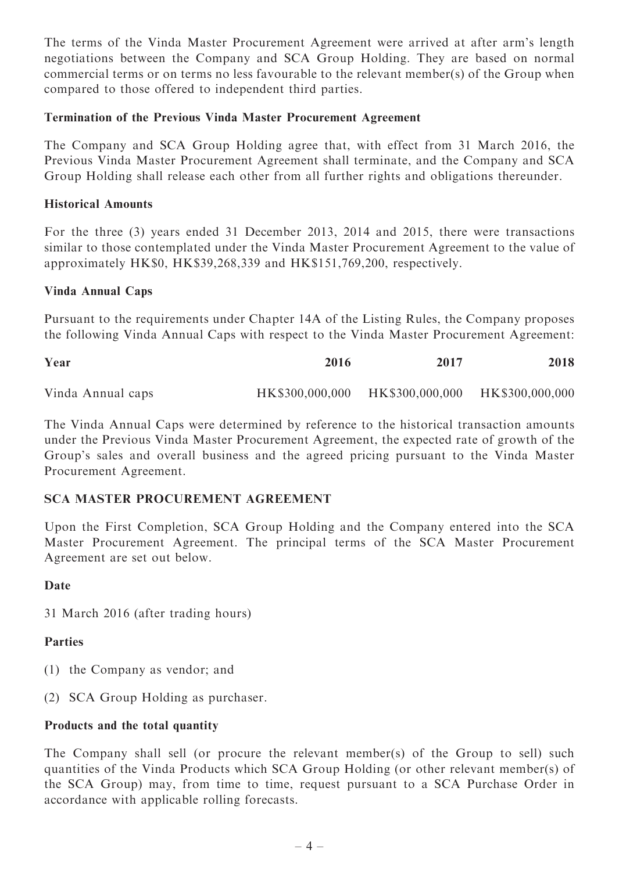The terms of the Vinda Master Procurement Agreement were arrived at after arm's length negotiations between the Company and SCA Group Holding. They are based on normal commercial terms or on terms no less favourable to the relevant member(s) of the Group when compared to those offered to independent third parties.

#### Termination of the Previous Vinda Master Procurement Agreement

The Company and SCA Group Holding agree that, with effect from 31 March 2016, the Previous Vinda Master Procurement Agreement shall terminate, and the Company and SCA Group Holding shall release each other from all further rights and obligations thereunder.

#### Historical Amounts

For the three (3) years ended 31 December 2013, 2014 and 2015, there were transactions similar to those contemplated under the Vinda Master Procurement Agreement to the value of approximately HK\$0, HK\$39,268,339 and HK\$151,769,200, respectively.

#### Vinda Annual Caps

Pursuant to the requirements under Chapter 14A of the Listing Rules, the Company proposes the following Vinda Annual Caps with respect to the Vinda Master Procurement Agreement:

| Year              | 2016            | 2017            | 2018            |
|-------------------|-----------------|-----------------|-----------------|
| Vinda Annual caps | HK\$300,000,000 | HK\$300,000,000 | HK\$300,000,000 |

The Vinda Annual Caps were determined by reference to the historical transaction amounts under the Previous Vinda Master Procurement Agreement, the expected rate of growth of the Group's sales and overall business and the agreed pricing pursuant to the Vinda Master Procurement Agreement.

# SCA MASTER PROCUREMENT AGREEMENT

Upon the First Completion, SCA Group Holding and the Company entered into the SCA Master Procurement Agreement. The principal terms of the SCA Master Procurement Agreement are set out below.

#### Date

31 March 2016 (after trading hours)

# **Parties**

- (1) the Company as vendor; and
- (2) SCA Group Holding as purchaser.

#### Products and the total quantity

The Company shall sell (or procure the relevant member(s) of the Group to sell) such quantities of the Vinda Products which SCA Group Holding (or other relevant member(s) of the SCA Group) may, from time to time, request pursuant to a SCA Purchase Order in accordance with applicable rolling forecasts.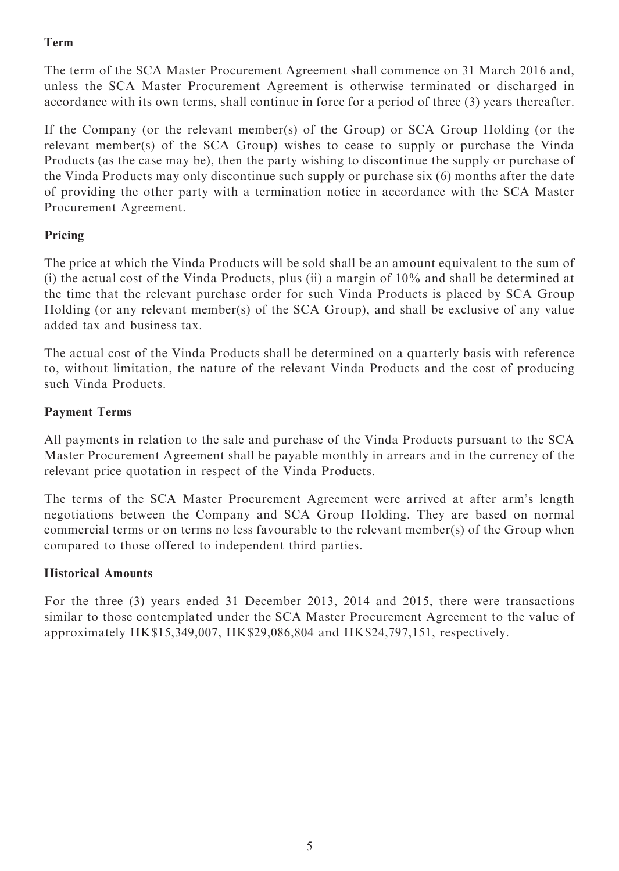# Term

The term of the SCA Master Procurement Agreement shall commence on 31 March 2016 and, unless the SCA Master Procurement Agreement is otherwise terminated or discharged in accordance with its own terms, shall continue in force for a period of three (3) years thereafter.

If the Company (or the relevant member(s) of the Group) or SCA Group Holding (or the relevant member(s) of the SCA Group) wishes to cease to supply or purchase the Vinda Products (as the case may be), then the party wishing to discontinue the supply or purchase of the Vinda Products may only discontinue such supply or purchase six (6) months after the date of providing the other party with a termination notice in accordance with the SCA Master Procurement Agreement.

# Pricing

The price at which the Vinda Products will be sold shall be an amount equivalent to the sum of (i) the actual cost of the Vinda Products, plus (ii) a margin of 10% and shall be determined at the time that the relevant purchase order for such Vinda Products is placed by SCA Group Holding (or any relevant member(s) of the SCA Group), and shall be exclusive of any value added tax and business tax.

The actual cost of the Vinda Products shall be determined on a quarterly basis with reference to, without limitation, the nature of the relevant Vinda Products and the cost of producing such Vinda Products.

# Payment Terms

All payments in relation to the sale and purchase of the Vinda Products pursuant to the SCA Master Procurement Agreement shall be payable monthly in arrears and in the currency of the relevant price quotation in respect of the Vinda Products.

The terms of the SCA Master Procurement Agreement were arrived at after arm's length negotiations between the Company and SCA Group Holding. They are based on normal commercial terms or on terms no less favourable to the relevant member(s) of the Group when compared to those offered to independent third parties.

#### Historical Amounts

For the three (3) years ended 31 December 2013, 2014 and 2015, there were transactions similar to those contemplated under the SCA Master Procurement Agreement to the value of approximately HK\$15,349,007, HK\$29,086,804 and HK\$24,797,151, respectively.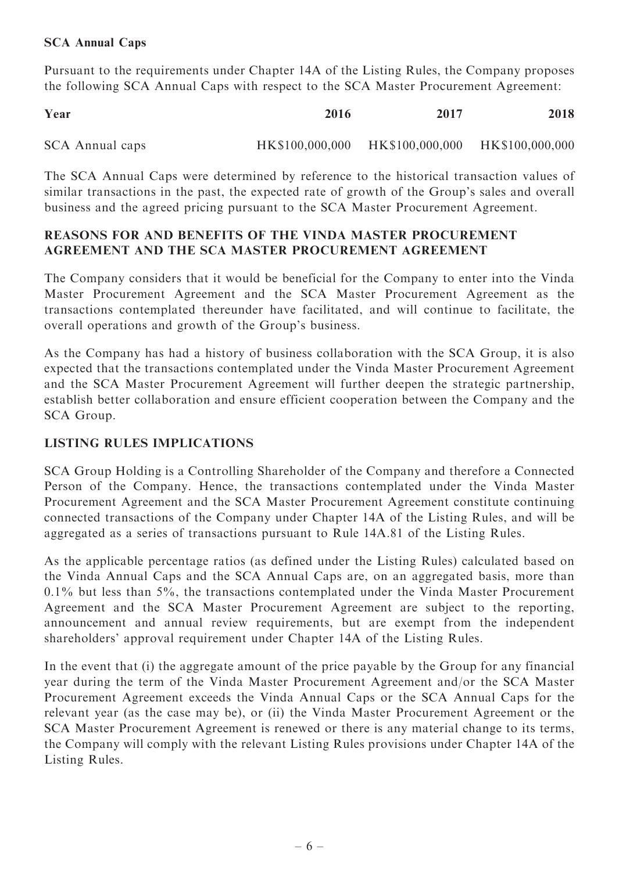#### SCA Annual Caps

Pursuant to the requirements under Chapter 14A of the Listing Rules, the Company proposes the following SCA Annual Caps with respect to the SCA Master Procurement Agreement:

| Year            | 2016 | 2017                                            | 2018 |
|-----------------|------|-------------------------------------------------|------|
| SCA Annual caps |      | HK\$100,000,000 HK\$100,000,000 HK\$100,000,000 |      |

The SCA Annual Caps were determined by reference to the historical transaction values of similar transactions in the past, the expected rate of growth of the Group's sales and overall business and the agreed pricing pursuant to the SCA Master Procurement Agreement.

#### REASONS FOR AND BENEFITS OF THE VINDA MASTER PROCUREMENT AGREEMENT AND THE SCA MASTER PROCUREMENT AGREEMENT

The Company considers that it would be beneficial for the Company to enter into the Vinda Master Procurement Agreement and the SCA Master Procurement Agreement as the transactions contemplated thereunder have facilitated, and will continue to facilitate, the overall operations and growth of the Group's business.

As the Company has had a history of business collaboration with the SCA Group, it is also expected that the transactions contemplated under the Vinda Master Procurement Agreement and the SCA Master Procurement Agreement will further deepen the strategic partnership, establish better collaboration and ensure efficient cooperation between the Company and the SCA Group.

# LISTING RULES IMPLICATIONS

SCA Group Holding is a Controlling Shareholder of the Company and therefore a Connected Person of the Company. Hence, the transactions contemplated under the Vinda Master Procurement Agreement and the SCA Master Procurement Agreement constitute continuing connected transactions of the Company under Chapter 14A of the Listing Rules, and will be aggregated as a series of transactions pursuant to Rule 14A.81 of the Listing Rules.

As the applicable percentage ratios (as defined under the Listing Rules) calculated based on the Vinda Annual Caps and the SCA Annual Caps are, on an aggregated basis, more than 0.1% but less than 5%, the transactions contemplated under the Vinda Master Procurement Agreement and the SCA Master Procurement Agreement are subject to the reporting, announcement and annual review requirements, but are exempt from the independent shareholders' approval requirement under Chapter 14A of the Listing Rules.

In the event that (i) the aggregate amount of the price payable by the Group for any financial year during the term of the Vinda Master Procurement Agreement and/or the SCA Master Procurement Agreement exceeds the Vinda Annual Caps or the SCA Annual Caps for the relevant year (as the case may be), or (ii) the Vinda Master Procurement Agreement or the SCA Master Procurement Agreement is renewed or there is any material change to its terms, the Company will comply with the relevant Listing Rules provisions under Chapter 14A of the Listing Rules.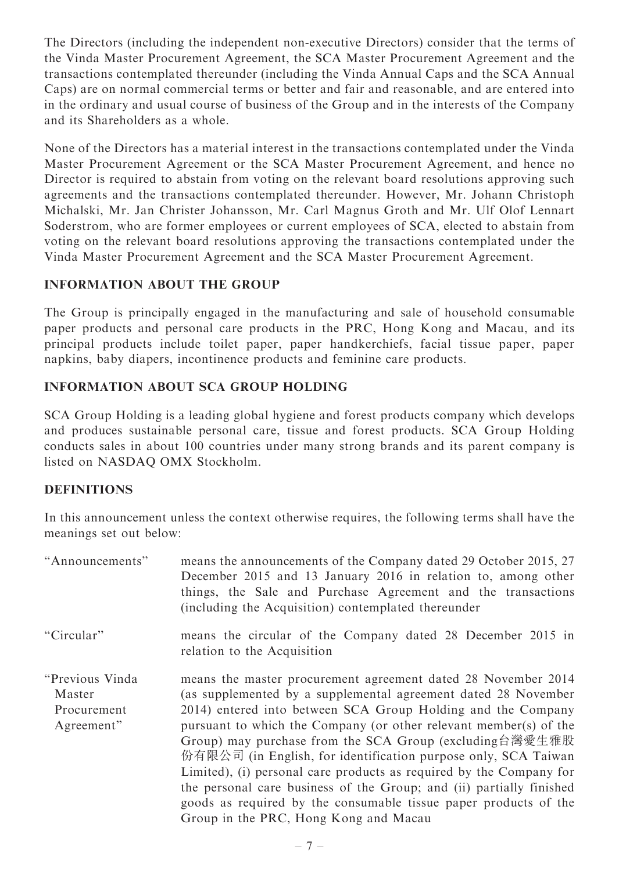The Directors (including the independent non-executive Directors) consider that the terms of the Vinda Master Procurement Agreement, the SCA Master Procurement Agreement and the transactions contemplated thereunder (including the Vinda Annual Caps and the SCA Annual Caps) are on normal commercial terms or better and fair and reasonable, and are entered into in the ordinary and usual course of business of the Group and in the interests of the Company and its Shareholders as a whole.

None of the Directors has a material interest in the transactions contemplated under the Vinda Master Procurement Agreement or the SCA Master Procurement Agreement, and hence no Director is required to abstain from voting on the relevant board resolutions approving such agreements and the transactions contemplated thereunder. However, Mr. Johann Christoph Michalski, Mr. Jan Christer Johansson, Mr. Carl Magnus Groth and Mr. Ulf Olof Lennart Soderstrom, who are former employees or current employees of SCA, elected to abstain from voting on the relevant board resolutions approving the transactions contemplated under the Vinda Master Procurement Agreement and the SCA Master Procurement Agreement.

# INFORMATION ABOUT THE GROUP

The Group is principally engaged in the manufacturing and sale of household consumable paper products and personal care products in the PRC, Hong Kong and Macau, and its principal products include toilet paper, paper handkerchiefs, facial tissue paper, paper napkins, baby diapers, incontinence products and feminine care products.

# INFORMATION ABOUT SCA GROUP HOLDING

SCA Group Holding is a leading global hygiene and forest products company which develops and produces sustainable personal care, tissue and forest products. SCA Group Holding conducts sales in about 100 countries under many strong brands and its parent company is listed on NASDAQ OMX Stockholm.

# DEFINITIONS

In this announcement unless the context otherwise requires, the following terms shall have the meanings set out below:

| "Announcements"                                         | means the announcements of the Company dated 29 October 2015, 27<br>December 2015 and 13 January 2016 in relation to, among other<br>things, the Sale and Purchase Agreement and the transactions<br>(including the Acquisition) contemplated thereunder                                                                                                                                                                                                                                                                                                                                                                                                      |
|---------------------------------------------------------|---------------------------------------------------------------------------------------------------------------------------------------------------------------------------------------------------------------------------------------------------------------------------------------------------------------------------------------------------------------------------------------------------------------------------------------------------------------------------------------------------------------------------------------------------------------------------------------------------------------------------------------------------------------|
| "Circular"                                              | means the circular of the Company dated 28 December 2015 in<br>relation to the Acquisition                                                                                                                                                                                                                                                                                                                                                                                                                                                                                                                                                                    |
| "Previous Vinda"<br>Master<br>Procurement<br>Agreement" | means the master procurement agreement dated 28 November 2014<br>(as supplemented by a supplemental agreement dated 28 November<br>2014) entered into between SCA Group Holding and the Company<br>pursuant to which the Company (or other relevant member(s) of the<br>Group) may purchase from the SCA Group (excluding台灣愛生雅股<br>份有限公司 (in English, for identification purpose only, SCA Taiwan<br>Limited), (i) personal care products as required by the Company for<br>the personal care business of the Group; and (ii) partially finished<br>goods as required by the consumable tissue paper products of the<br>Group in the PRC, Hong Kong and Macau |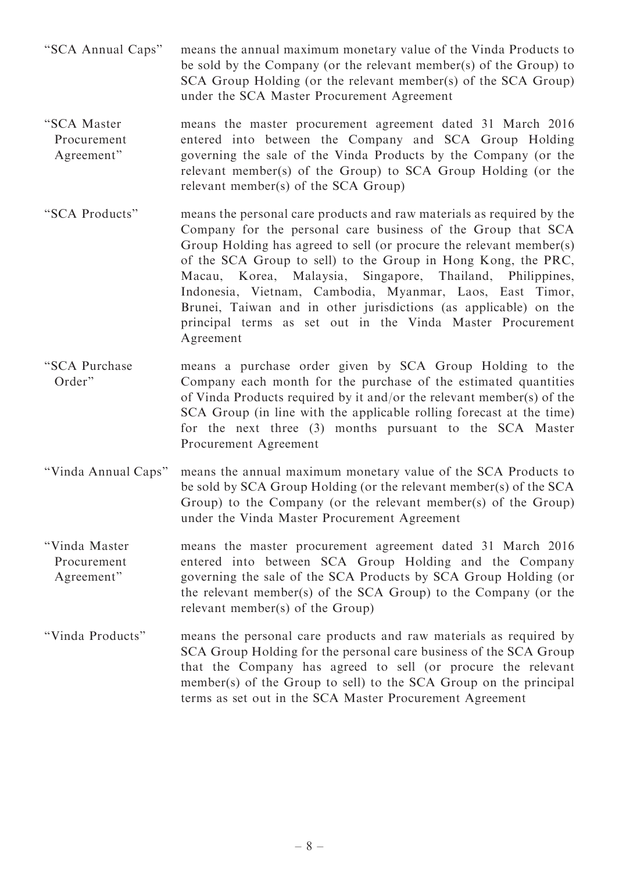- ''SCA Annual Caps'' means the annual maximum monetary value of the Vinda Products to be sold by the Company (or the relevant member(s) of the Group) to SCA Group Holding (or the relevant member(s) of the SCA Group) under the SCA Master Procurement Agreement
- ''SCA Master Procurement Agreement'' means the master procurement agreement dated 31 March 2016 entered into between the Company and SCA Group Holding governing the sale of the Vinda Products by the Company (or the relevant member(s) of the Group) to SCA Group Holding (or the relevant member(s) of the SCA Group)
- ''SCA Products'' means the personal care products and raw materials as required by the Company for the personal care business of the Group that SCA Group Holding has agreed to sell (or procure the relevant member(s) of the SCA Group to sell) to the Group in Hong Kong, the PRC, Macau, Korea, Malaysia, Singapore, Thailand, Philippines, Indonesia, Vietnam, Cambodia, Myanmar, Laos, East Timor, Brunei, Taiwan and in other jurisdictions (as applicable) on the principal terms as set out in the Vinda Master Procurement Agreement
- ''SCA Purchase Order'' means a purchase order given by SCA Group Holding to the Company each month for the purchase of the estimated quantities of Vinda Products required by it and/or the relevant member(s) of the SCA Group (in line with the applicable rolling forecast at the time) for the next three (3) months pursuant to the SCA Master Procurement Agreement
- ''Vinda Annual Caps'' means the annual maximum monetary value of the SCA Products to be sold by SCA Group Holding (or the relevant member(s) of the SCA Group) to the Company (or the relevant member(s) of the Group) under the Vinda Master Procurement Agreement
- ''Vinda Master Procurement Agreement'' means the master procurement agreement dated 31 March 2016 entered into between SCA Group Holding and the Company governing the sale of the SCA Products by SCA Group Holding (or the relevant member(s) of the SCA Group) to the Company (or the relevant member(s) of the Group)
- ''Vinda Products'' means the personal care products and raw materials as required by SCA Group Holding for the personal care business of the SCA Group that the Company has agreed to sell (or procure the relevant member(s) of the Group to sell) to the SCA Group on the principal terms as set out in the SCA Master Procurement Agreement